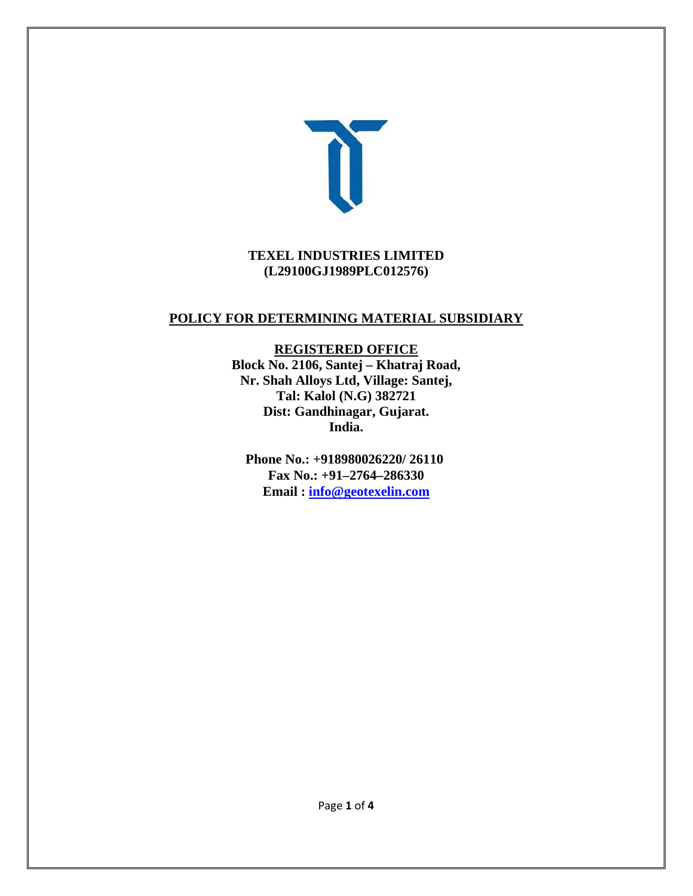

#### **TEXEL INDUSTRIES LIMITED (L29100GJ1989PLC012576)**

### **POLICY FOR DETERMINING MATERIAL SUBSIDIARY**

**REGISTERED OFFICE Block No. 2106, Santej – Khatraj Road, Nr. Shah Alloys Ltd, Village: Santej, Tal: Kalol (N.G) 382721 Dist: Gandhinagar, Gujarat. India.** 

**Phone No.: +918980026220/ 26110 Fax No.: +91–2764–286330 Email : info@geotexelin.com**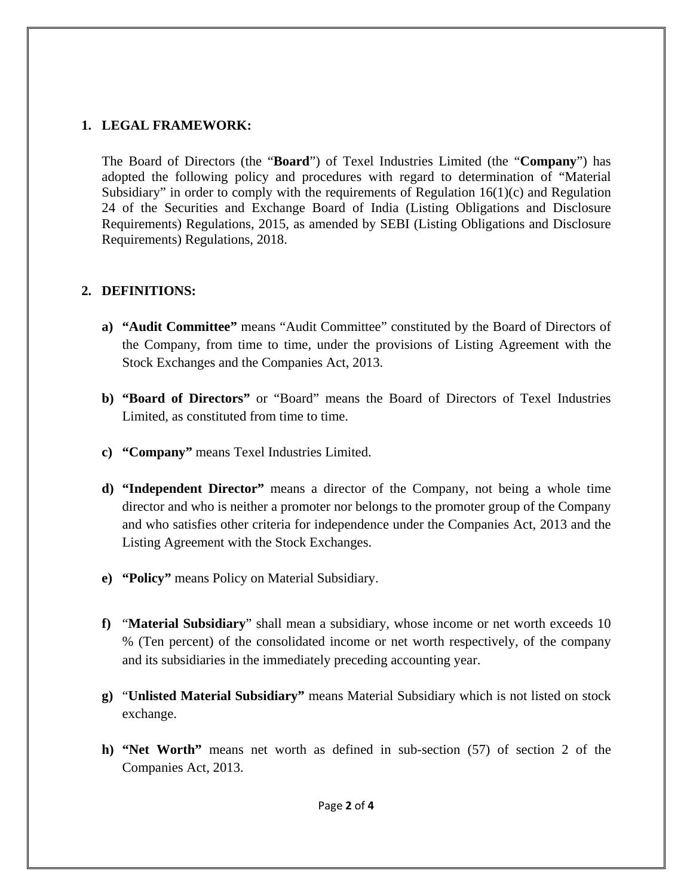### **1. LEGAL FRAMEWORK:**

The Board of Directors (the "**Board**") of Texel Industries Limited (the "**Company**") has adopted the following policy and procedures with regard to determination of "Material Subsidiary" in order to comply with the requirements of Regulation  $16(1)(c)$  and Regulation 24 of the Securities and Exchange Board of India (Listing Obligations and Disclosure Requirements) Regulations, 2015, as amended by SEBI (Listing Obligations and Disclosure Requirements) Regulations, 2018.

### **2. DEFINITIONS:**

- **a) "Audit Committee"** means "Audit Committee" constituted by the Board of Directors of the Company, from time to time, under the provisions of Listing Agreement with the Stock Exchanges and the Companies Act, 2013.
- **b) "Board of Directors"** or "Board" means the Board of Directors of Texel Industries Limited, as constituted from time to time.
- **c) "Company"** means Texel Industries Limited.
- **d) "Independent Director"** means a director of the Company, not being a whole time director and who is neither a promoter nor belongs to the promoter group of the Company and who satisfies other criteria for independence under the Companies Act, 2013 and the Listing Agreement with the Stock Exchanges.
- **e) "Policy"** means Policy on Material Subsidiary.
- **f)** "**Material Subsidiary**" shall mean a subsidiary, whose income or net worth exceeds 10 % (Ten percent) of the consolidated income or net worth respectively, of the company and its subsidiaries in the immediately preceding accounting year.
- **g)** "**Unlisted Material Subsidiary"** means Material Subsidiary which is not listed on stock exchange.
- **h) "Net Worth"** means net worth as defined in sub-section (57) of section 2 of the Companies Act, 2013.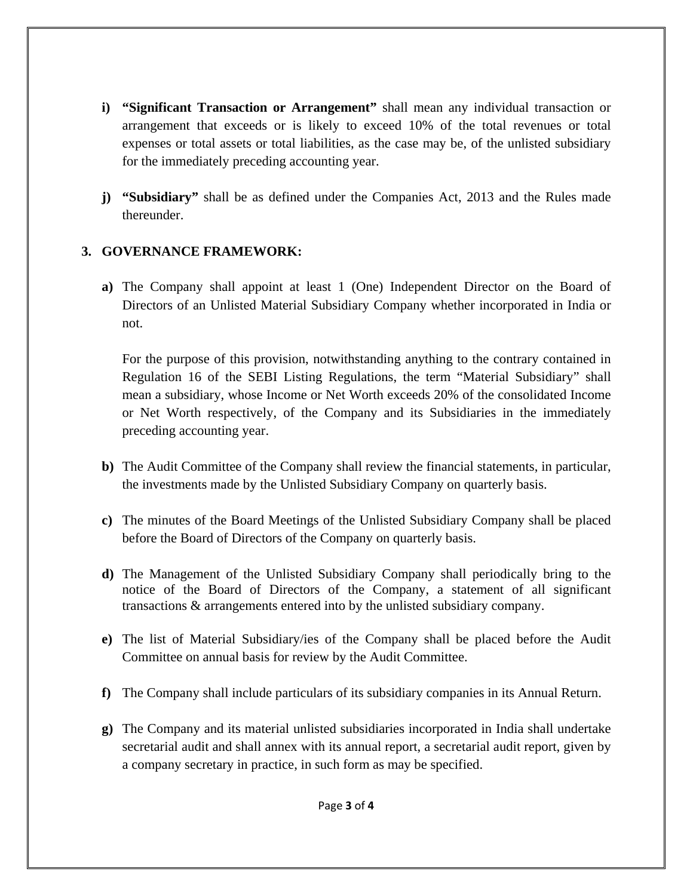- **i) "Significant Transaction or Arrangement"** shall mean any individual transaction or arrangement that exceeds or is likely to exceed 10% of the total revenues or total expenses or total assets or total liabilities, as the case may be, of the unlisted subsidiary for the immediately preceding accounting year.
- **j) "Subsidiary"** shall be as defined under the Companies Act, 2013 and the Rules made thereunder.

# **3. GOVERNANCE FRAMEWORK:**

**a)** The Company shall appoint at least 1 (One) Independent Director on the Board of Directors of an Unlisted Material Subsidiary Company whether incorporated in India or not.

For the purpose of this provision, notwithstanding anything to the contrary contained in Regulation 16 of the SEBI Listing Regulations, the term "Material Subsidiary" shall mean a subsidiary, whose Income or Net Worth exceeds 20% of the consolidated Income or Net Worth respectively, of the Company and its Subsidiaries in the immediately preceding accounting year.

- **b)** The Audit Committee of the Company shall review the financial statements, in particular, the investments made by the Unlisted Subsidiary Company on quarterly basis.
- **c)** The minutes of the Board Meetings of the Unlisted Subsidiary Company shall be placed before the Board of Directors of the Company on quarterly basis.
- **d)** The Management of the Unlisted Subsidiary Company shall periodically bring to the notice of the Board of Directors of the Company, a statement of all significant transactions & arrangements entered into by the unlisted subsidiary company.
- **e)** The list of Material Subsidiary/ies of the Company shall be placed before the Audit Committee on annual basis for review by the Audit Committee.
- **f)** The Company shall include particulars of its subsidiary companies in its Annual Return.
- **g)** The Company and its material unlisted subsidiaries incorporated in India shall undertake secretarial audit and shall annex with its annual report, a secretarial audit report, given by a company secretary in practice, in such form as may be specified.